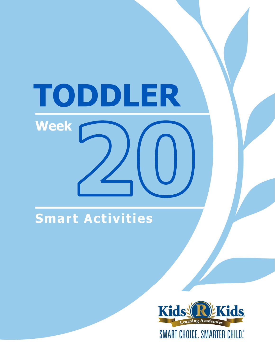# TODDLER **Week**

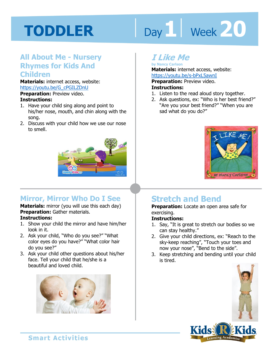# Day 1 **Week 20**

#### **All About Me - Nursery Rhymes for Kids And Children**

**Materials:** internet access, website: https://youtu.be/G\_cPGILZDnU

**Preparation:** Preview video.

#### **Instructions:**

- 1. Have your child sing along and point to his/her nose, mouth, and chin along with the song.
- 2. Discuss with your child how we use our nose to smell.



#### **Mirror, Mirror Who Do I See**

#### **Materials:** mirror (you will use this each day) **Preparation:** Gather materials. **Instructions:**

- 1. Show your child the mirror and have him/her look in it.
- 2. Ask your child, "Who do you see?" "What color eyes do you have?" "What color hair do you see?"
- 3. Ask your child other questions about his/her face. Tell your child that he/she is a beautiful and loved child.



#### **I Like Me**

**by Nancy Carlson Materials:** internet access, website: https://youtu.be/s-bPxL5awnI

**1 4 Preparation:** Preview video. **Instructions:** 

- 1. Listen to the read aloud story together.
- 2. Ask questions, ex: "Who is her best friend?" "Are you your best friend?" "When you are sad what do you do?"



#### **Stretch and Bend**

**Preparation:** Locate an open area safe for exercising.

#### **Instructions:**

- 1. Say, "It is great to stretch our bodies so we can stay healthy."
- 2. Give your child directions, ex: "Reach to the sky-keep reaching", "Touch your toes and now your nose", "Bend to the side".
- 3. Keep stretching and bending until your child is tired.



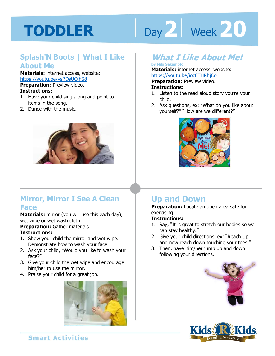# Day 2 **Week 20**

#### **Splash'N Boots | What I Like About Me**

**Materials:** internet access, website: https://youtu.be/vsRDsUOlhS8 **Preparation:** Preview video.

#### **Instructions:**

- 1. Have your child sing along and point to items in the song.
- 2. Dance with the music.



#### **Mirror, Mirror I See A Clean Face**

**Materials:** mirror (you will use this each day), wet wipe or wet wash cloth

**Preparation:** Gather materials.

#### **Instructions:**

- 1. Show your child the mirror and wet wipe. Demonstrate how to wash your face.
- 2. Ask your child, "Would you like to wash your face?"
- 3. Give your child the wet wipe and encourage him/her to use the mirror.
- 4. Praise your child for a great job.



#### **What I Like About Me!**

#### **by Miki Sakamoto**

**Materials:** internet access, website:

https://youtu.be/ioz6THRhjCo<br>**Preparation:** Preview video.<br>**Instructions:**<br>1 Listen to the read aloud star wou're. **Preparation:** Preview video.

#### **Instructions:**

- 1. Listen to the read aloud story you're your child.
- 2. Ask questions, ex: "What do you like about yourself?" "How are we different?"



#### **Up and Down**

**Preparation:** Locate an open area safe for exercising.

#### **Instructions:**

- 1. Say, "It is great to stretch our bodies so we can stay healthy."
- 2. Give your child directions, ex: "Reach Up, and now reach down touching your toes."
- 3. Then, have him/her jump up and down following your directions.



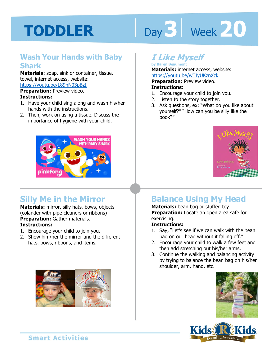# Day 3 | Week 20

#### **Wash Your Hands with Baby Shark**

**Materials:** soap, sink or container, tissue, towel, internet access, website: https://youtu.be/L89nN03pBzI

**Preparation:** Preview video.

#### **Instructions:**

- 1. Have your child sing along and wash his/her hands with the instructions.
- 2. Then, work on using a tissue. Discuss the importance of hygiene with your child.



#### **Silly Me in the Mirror**

**Materials:** mirror, silly hats, bows, objects (colander with pipe cleaners or ribbons) **Preparation:** Gather materials. **Instructions:** 

- 1. Encourage your child to join you.
- 2. Show him/her the mirror and the different hats, bows, ribbons, and items.



#### **I Like Myself**

**by Karen Beaumont Materials:** internet access, website: https://youtu.be/wTIyUKznXzk

**Preparation:** Preview video. **Instructions:** 

- 1. Encourage your child to join you.
- 2. Listen to the story together.
- 3. Ask questions, ex: "What do you like about yourself?" "How can you be silly like the book?"



#### **Balance Using My Head**

**Materials:** bean bag or stuffed toy **Preparation:** Locate an open area safe for exercising.

#### **Instructions:**

- 1. Say, "Let's see if we can walk with the bean bag on our head without it falling off."
- 2. Encourage your child to walk a few feet and then add stretching out his/her arms.
- 3. Continue the walking and balancing activity by trying to balance the bean bag on his/her shoulder, arm, hand, etc.



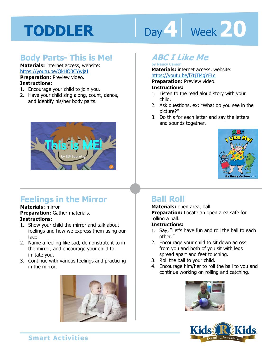# Day 4 **Week 20**

#### **Body Parts- This is Me!**

#### **Materials:** internet access, website: https://youtu.be/QkHQ0CYwjaI **Preparation:** Preview video. **Instructions:**

- 1. Encourage your child to join you.
- 2. Have your child sing along, count, dance, and identify his/her body parts.



#### **Feelings in the Mirror**

#### **Materials:** mirror **Preparation:** Gather materials. **Instructions:**

- 1. Show your child the mirror and talk about feelings and how we express them using our face.
- 2. Name a feeling like sad, demonstrate it to in the mirror, and encourage your child to imitate you.
- 3. Continue with various feelings and practicing in the mirror.



#### **ABC I Like Me**

#### **by Nancy Carson Materials:** internet access, website:

**1 4**  https://youtu.be/l7tjTMgYFLc

#### **Preparation:** Preview video.

#### **Instructions:**

- 1. Listen to the read aloud story with your child.
- 2. Ask questions, ex: "What do you see in the picture?"
- 3. Do this for each letter and say the letters and sounds together.



#### **Ball Roll**

#### **Materials:** open area, ball **Preparation:** Locate an open area safe for rolling a ball.

#### **Instructions:**

- 1. Say, "Let's have fun and roll the ball to each other."
- 2. Encourage your child to sit down across from you and both of you sit with legs spread apart and feet touching.
- 3. Roll the ball to your child.
- 4. Encourage him/her to roll the ball to you and continue working on rolling and catching.